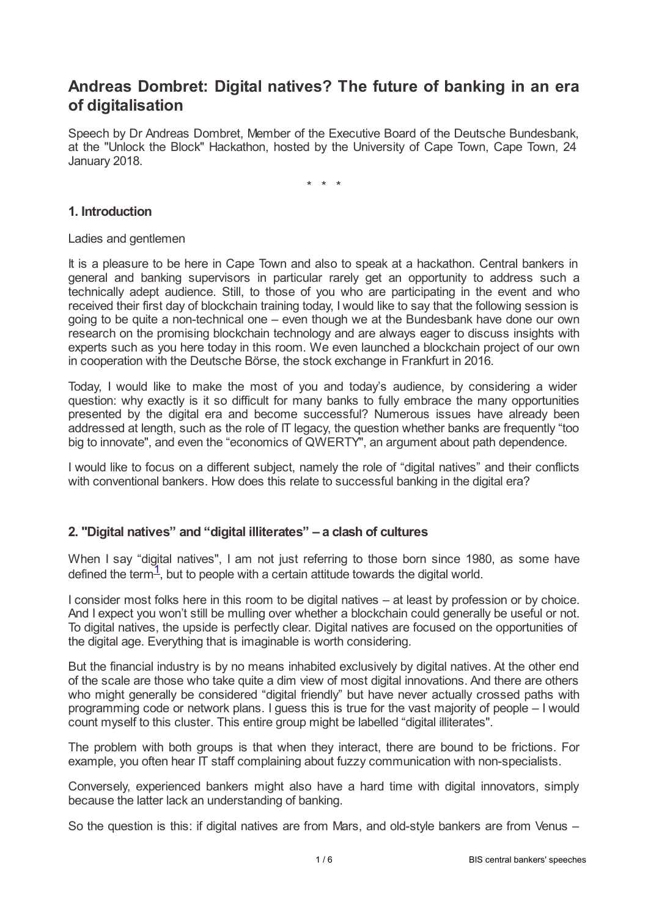# **Andreas Dombret: Digital natives? The future of banking in an era of digitalisation**

Speech by Dr Andreas Dombret, Member of the Executive Board of the Deutsche Bundesbank, at the "Unlock the Block" Hackathon, hosted by the University of Cape Town, Cape Town, 24 January 2018.

\* \* \*

### **1. Introduction**

#### Ladies and gentlemen

It is a pleasure to be here in Cape Town and also to speak at a hackathon. Central bankers in general and banking supervisors in particular rarely get an opportunity to address such a technically adept audience. Still, to those of you who are participating in the event and who received their first day of blockchain training today, I would like to say that the following session is going to be quite a non-technical one – even though we at the Bundesbank have done our own research on the promising blockchain technology and are always eager to discuss insights with experts such as you here today in this room. We even launched a blockchain project of our own in cooperation with the Deutsche Börse, the stock exchange in Frankfurt in 2016.

Today, I would like to make the most of you and today's audience, by considering a wider question: why exactly is it so difficult for many banks to fully embrace the many opportunities presented by the digital era and become successful? Numerous issues have already been addressed at length, such as the role of IT legacy, the question whether banks are frequently "too big to innovate", and even the "economics of QWERTY", an argument about path dependence.

I would like to focus on a different subject, namely the role of "digital natives" and their conflicts with conventional bankers. How does this relate to successful banking in the digital era?

#### **2. "Digital natives" and "digital illiterates" – a clash of cultures**

<span id="page-0-0"></span>When I say "digital natives", I am not just referring to those born since 1980, as some have defined the term<sup>[1](#page-5-0)</sup>, but to people with a certain attitude towards the digital world.

I consider most folks here in this room to be digital natives – at least by profession or by choice. And I expect you won't still be mulling over whether a blockchain could generally be useful or not. To digital natives, the upside is perfectly clear. Digital natives are focused on the opportunities of the digital age. Everything that is imaginable is worth considering.

But the financial industry is by no means inhabited exclusively by digital natives. At the other end of the scale are those who take quite a dim view of most digital innovations. And there are others who might generally be considered "digital friendly" but have never actually crossed paths with programming code or network plans. I guess this is true for the vast majority of people – I would count myself to this cluster. This entire group might be labelled "digital illiterates".

The problem with both groups is that when they interact, there are bound to be frictions. For example, you often hear IT staff complaining about fuzzy communication with non-specialists.

Conversely, experienced bankers might also have a hard time with digital innovators, simply because the latter lack an understanding of banking.

So the question is this: if digital natives are from Mars, and old-style bankers are from Venus –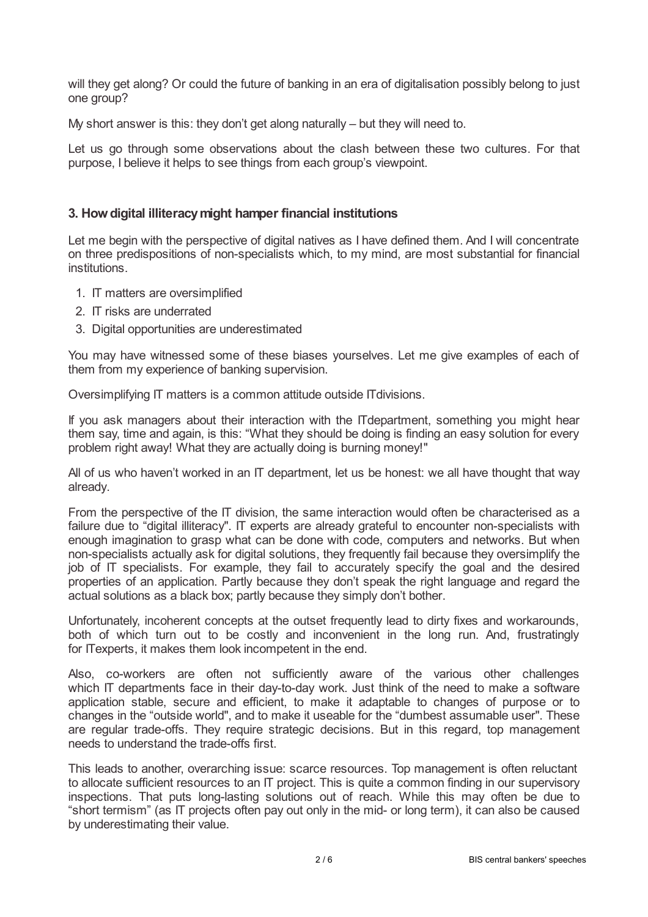will they get along? Or could the future of banking in an era of digitalisation possibly belong to just one group?

My short answer is this: they don't get along naturally – but they will need to.

Let us go through some observations about the clash between these two cultures. For that purpose, I believe it helps to see things from each group's viewpoint.

#### **3. Howdigital illiteracymight hamper financial institutions**

Let me begin with the perspective of digital natives as I have defined them. And I will concentrate on three predispositions of non-specialists which, to my mind, are most substantial for financial institutions.

- 1. IT matters are oversimplified
- 2. IT risks are underrated
- 3. Digital opportunities are underestimated

You may have witnessed some of these biases yourselves. Let me give examples of each of them from my experience of banking supervision.

Oversimplifying IT matters is a common attitude outside ITdivisions.

If you ask managers about their interaction with the ITdepartment, something you might hear them say, time and again, is this: "What they should be doing is finding an easy solution for every problem right away! What they are actually doing is burning money!"

All of us who haven't worked in an IT department, let us be honest: we all have thought that way already.

From the perspective of the IT division, the same interaction would often be characterised as a failure due to "digital illiteracy". IT experts are already grateful to encounter non-specialists with enough imagination to grasp what can be done with code, computers and networks. But when non-specialists actually ask for digital solutions, they frequently fail because they oversimplify the job of IT specialists. For example, they fail to accurately specify the goal and the desired properties of an application. Partly because they don't speak the right language and regard the actual solutions as a black box; partly because they simply don't bother.

Unfortunately, incoherent concepts at the outset frequently lead to dirty fixes and workarounds, both of which turn out to be costly and inconvenient in the long run. And, frustratingly for ITexperts, it makes them look incompetent in the end.

Also, co-workers are often not sufficiently aware of the various other challenges which IT departments face in their day-to-day work. Just think of the need to make a software application stable, secure and efficient, to make it adaptable to changes of purpose or to changes in the "outside world", and to make it useable for the "dumbest assumable user". These are regular trade-offs. They require strategic decisions. But in this regard, top management needs to understand the trade-offs first.

This leads to another, overarching issue: scarce resources. Top management is often reluctant to allocate sufficient resources to an IT project. This is quite a common finding in our supervisory inspections. That puts long-lasting solutions out of reach. While this may often be due to "short termism" (as IT projects often pay out only in the mid- or long term), it can also be caused by underestimating their value.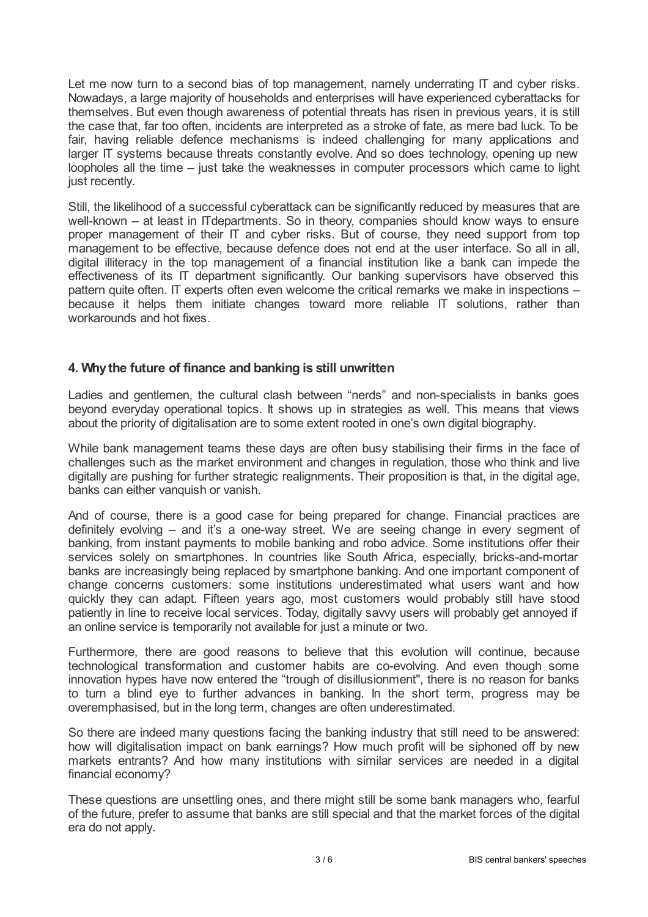Let me now turn to a second bias of top management, namely underrating IT and cyber risks. Nowadays, a large majority of households and enterprises will have experienced cyberattacks for themselves. But even though awareness of potential threats has risen in previous years, it is still the case that, far too often, incidents are interpreted as a stroke of fate, as mere bad luck. To be fair, having reliable defence mechanisms is indeed challenging for many applications and larger IT systems because threats constantly evolve. And so does technology, opening up new loopholes all the time – just take the weaknesses in computer processors which came to light just recently.

Still, the likelihood of a successful cyberattack can be significantly reduced by measures that are well-known – at least in ITdepartments. So in theory, companies should know ways to ensure proper management of their IT and cyber risks. But of course, they need support from top management to be effective, because defence does not end at the user interface. So all in all, digital illiteracy in the top management of a financial institution like a bank can impede the effectiveness of its IT department significantly. Our banking supervisors have observed this pattern quite often. IT experts often even welcome the critical remarks we make in inspections – because it helps them initiate changes toward more reliable IT solutions, rather than workarounds and hot fixes.

#### **4. Whythe future of finance and banking is still unwritten**

Ladies and gentlemen, the cultural clash between "nerds" and non-specialists in banks goes beyond everyday operational topics. It shows up in strategies as well. This means that views about the priority of digitalisation are to some extent rooted in one's own digital biography.

While bank management teams these days are often busy stabilising their firms in the face of challenges such as the market environment and changes in regulation, those who think and live digitally are pushing for further strategic realignments. Their proposition is that, in the digital age, banks can either vanquish or vanish.

And of course, there is a good case for being prepared for change. Financial practices are definitely evolving – and it's a one-way street. We are seeing change in every segment of banking, from instant payments to mobile banking and robo advice. Some institutions offer their services solely on smartphones. In countries like South Africa, especially, bricks-and-mortar banks are increasingly being replaced by smartphone banking. And one important component of change concerns customers: some institutions underestimated what users want and how quickly they can adapt. Fifteen years ago, most customers would probably still have stood patiently in line to receive local services. Today, digitally savvy users will probably get annoyed if an online service is temporarily not available for just a minute or two.

Furthermore, there are good reasons to believe that this evolution will continue, because technological transformation and customer habits are co-evolving. And even though some innovation hypes have now entered the "trough of disillusionment", there is no reason for banks to turn a blind eye to further advances in banking. In the short term, progress may be overemphasised, but in the long term, changes are often underestimated.

So there are indeed many questions facing the banking industry that still need to be answered: how will digitalisation impact on bank earnings? How much profit will be siphoned off by new markets entrants? And how many institutions with similar services are needed in a digital financial economy?

These questions are unsettling ones, and there might still be some bank managers who, fearful of the future, prefer to assume that banks are still special and that the market forces of the digital era do not apply.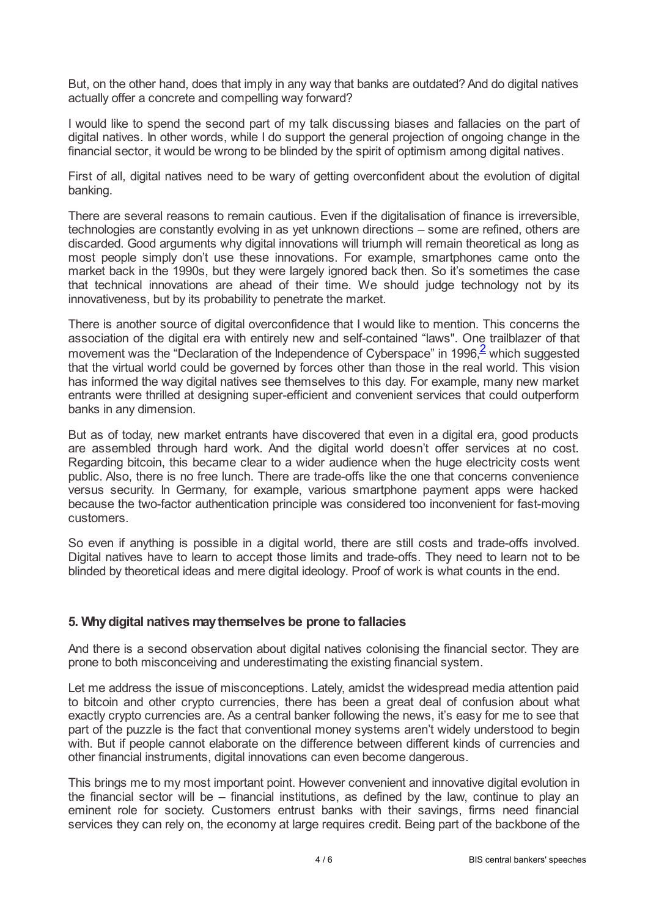But, on the other hand, does that imply in any way that banks are outdated? And do digital natives actually offer a concrete and compelling way forward?

I would like to spend the second part of my talk discussing biases and fallacies on the part of digital natives. In other words, while I do support the general projection of ongoing change in the financial sector, it would be wrong to be blinded by the spirit of optimism among digital natives.

First of all, digital natives need to be wary of getting overconfident about the evolution of digital banking.

There are several reasons to remain cautious. Even if the digitalisation of finance is irreversible, technologies are constantly evolving in as yet unknown directions – some are refined, others are discarded. Good arguments why digital innovations will triumph will remain theoretical as long as most people simply don't use these innovations. For example, smartphones came onto the market back in the 1990s, but they were largely ignored back then. So it's sometimes the case that technical innovations are ahead of their time. We should judge technology not by its innovativeness, but by its probability to penetrate the market.

<span id="page-3-0"></span>There is another source of digital overconfidence that I would like to mention. This concerns the association of the digital era with entirely new and self-contained "laws". One trailblazer of that movement was the "Declaration of the Independence of Cyberspace" in 1996, $\frac{2}{5}$  $\frac{2}{5}$  $\frac{2}{5}$  which suggested that the virtual world could be governed by forces other than those in the real world. This vision has informed the way digital natives see themselves to this day. For example, many new market entrants were thrilled at designing super-efficient and convenient services that could outperform banks in any dimension.

But as of today, new market entrants have discovered that even in a digital era, good products are assembled through hard work. And the digital world doesn't offer services at no cost. Regarding bitcoin, this became clear to a wider audience when the huge electricity costs went public. Also, there is no free lunch. There are trade-offs like the one that concerns convenience versus security. In Germany, for example, various smartphone payment apps were hacked because the two-factor authentication principle was considered too inconvenient for fast-moving customers.

So even if anything is possible in a digital world, there are still costs and trade-offs involved. Digital natives have to learn to accept those limits and trade-offs. They need to learn not to be blinded by theoretical ideas and mere digital ideology. Proof of work is what counts in the end.

#### **5. Whydigital natives maythemselves be prone to fallacies**

And there is a second observation about digital natives colonising the financial sector. They are prone to both misconceiving and underestimating the existing financial system.

Let me address the issue of misconceptions. Lately, amidst the widespread media attention paid to bitcoin and other crypto currencies, there has been a great deal of confusion about what exactly crypto currencies are. As a central banker following the news, it's easy for me to see that part of the puzzle is the fact that conventional money systems aren't widely understood to begin with. But if people cannot elaborate on the difference between different kinds of currencies and other financial instruments, digital innovations can even become dangerous.

This brings me to my most important point. However convenient and innovative digital evolution in the financial sector will be – financial institutions, as defined by the law, continue to play an eminent role for society. Customers entrust banks with their savings, firms need financial services they can rely on, the economy at large requires credit. Being part of the backbone of the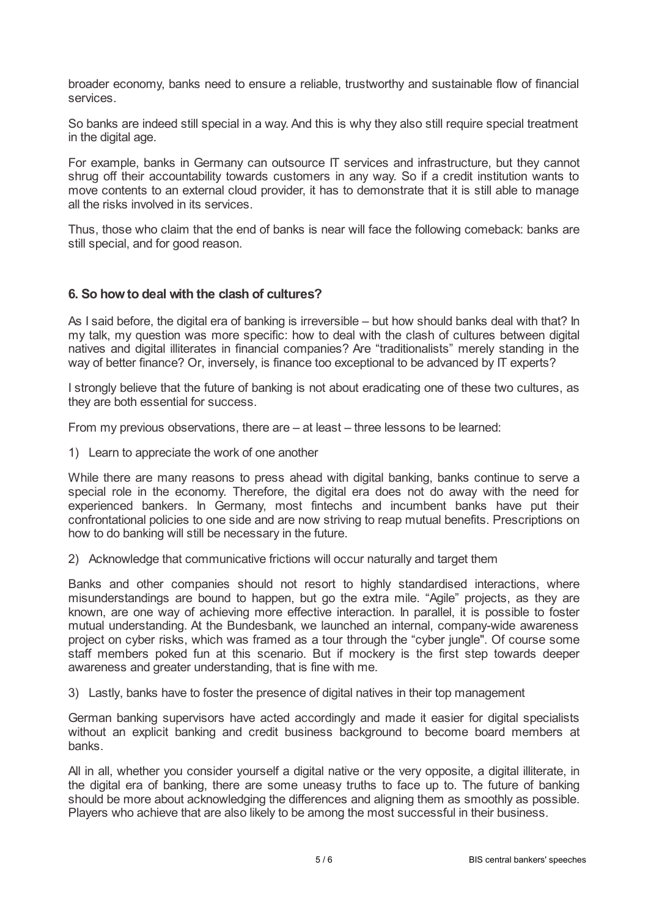broader economy, banks need to ensure a reliable, trustworthy and sustainable flow of financial services.

So banks are indeed still special in a way. And this is why they also still require special treatment in the digital age.

For example, banks in Germany can outsource IT services and infrastructure, but they cannot shrug off their accountability towards customers in any way. So if a credit institution wants to move contents to an external cloud provider, it has to demonstrate that it is still able to manage all the risks involved in its services.

Thus, those who claim that the end of banks is near will face the following comeback: banks are still special, and for good reason.

#### **6. So howto deal with the clash of cultures?**

As I said before, the digital era of banking is irreversible – but how should banks deal with that? In my talk, my question was more specific: how to deal with the clash of cultures between digital natives and digital illiterates in financial companies? Are "traditionalists" merely standing in the way of better finance? Or, inversely, is finance too exceptional to be advanced by IT experts?

I strongly believe that the future of banking is not about eradicating one of these two cultures, as they are both essential for success.

From my previous observations, there are – at least – three lessons to be learned:

1) Learn to appreciate the work of one another

While there are many reasons to press ahead with digital banking, banks continue to serve a special role in the economy. Therefore, the digital era does not do away with the need for experienced bankers. In Germany, most fintechs and incumbent banks have put their confrontational policies to one side and are now striving to reap mutual benefits. Prescriptions on how to do banking will still be necessary in the future.

2) Acknowledge that communicative frictions will occur naturally and target them

Banks and other companies should not resort to highly standardised interactions, where misunderstandings are bound to happen, but go the extra mile. "Agile" projects, as they are known, are one way of achieving more effective interaction. In parallel, it is possible to foster mutual understanding. At the Bundesbank, we launched an internal, company-wide awareness project on cyber risks, which was framed as a tour through the "cyber jungle". Of course some staff members poked fun at this scenario. But if mockery is the first step towards deeper awareness and greater understanding, that is fine with me.

3) Lastly, banks have to foster the presence of digital natives in their top management

German banking supervisors have acted accordingly and made it easier for digital specialists without an explicit banking and credit business background to become board members at banks.

All in all, whether you consider yourself a digital native or the very opposite, a digital illiterate, in the digital era of banking, there are some uneasy truths to face up to. The future of banking should be more about acknowledging the differences and aligning them as smoothly as possible. Players who achieve that are also likely to be among the most successful in their business.